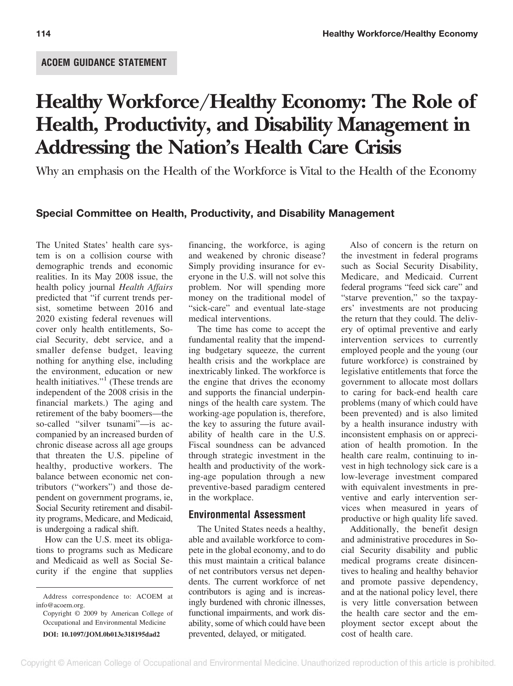# **Healthy Workforce/Healthy Economy: The Role of Health, Productivity, and Disability Management in Addressing the Nation's Health Care Crisis**

Why an emphasis on the Health of the Workforce is Vital to the Health of the Economy

## **Special Committee on Health, Productivity, and Disability Management**

The United States' health care system is on a collision course with demographic trends and economic realities. In its May 2008 issue, the health policy journal *Health Affairs* predicted that "if current trends persist, sometime between 2016 and 2020 existing federal revenues will cover only health entitlements, Social Security, debt service, and a smaller defense budget, leaving nothing for anything else, including the environment, education or new health initiatives."<sup>1</sup> (These trends are independent of the 2008 crisis in the financial markets.) The aging and retirement of the baby boomers—the so-called "silver tsunami"—is accompanied by an increased burden of chronic disease across all age groups that threaten the U.S. pipeline of healthy, productive workers. The balance between economic net contributors ("workers") and those dependent on government programs, ie, Social Security retirement and disability programs, Medicare, and Medicaid, is undergoing a radical shift.

How can the U.S. meet its obligations to programs such as Medicare and Medicaid as well as Social Security if the engine that supplies

financing, the workforce, is aging and weakened by chronic disease? Simply providing insurance for everyone in the U.S. will not solve this problem. Nor will spending more money on the traditional model of "sick-care" and eventual late-stage medical interventions.

The time has come to accept the fundamental reality that the impending budgetary squeeze, the current health crisis and the workplace are inextricably linked. The workforce is the engine that drives the economy and supports the financial underpinnings of the health care system. The working-age population is, therefore, the key to assuring the future availability of health care in the U.S. Fiscal soundness can be advanced through strategic investment in the health and productivity of the working-age population through a new preventive-based paradigm centered in the workplace.

### **Environmental Assessment**

The United States needs a healthy, able and available workforce to compete in the global economy, and to do this must maintain a critical balance of net contributors versus net dependents. The current workforce of net contributors is aging and is increasingly burdened with chronic illnesses, functional impairments, and work disability, some of which could have been prevented, delayed, or mitigated.

Also of concern is the return on the investment in federal programs such as Social Security Disability, Medicare, and Medicaid. Current federal programs "feed sick care" and "starve prevention," so the taxpayers' investments are not producing the return that they could. The delivery of optimal preventive and early intervention services to currently employed people and the young (our future workforce) is constrained by legislative entitlements that force the government to allocate most dollars to caring for back-end health care problems (many of which could have been prevented) and is also limited by a health insurance industry with inconsistent emphasis on or appreciation of health promotion. In the health care realm, continuing to invest in high technology sick care is a low-leverage investment compared with equivalent investments in preventive and early intervention services when measured in years of productive or high quality life saved.

Additionally, the benefit design and administrative procedures in Social Security disability and public medical programs create disincentives to healing and healthy behavior and promote passive dependency, and at the national policy level, there is very little conversation between the health care sector and the employment sector except about the cost of health care.

Address correspondence to: ACOEM at info@acoem.org.

Copyright © 2009 by American College of Occupational and Environmental Medicine **DOI: 10.1097/JOM.0b013e318195dad2**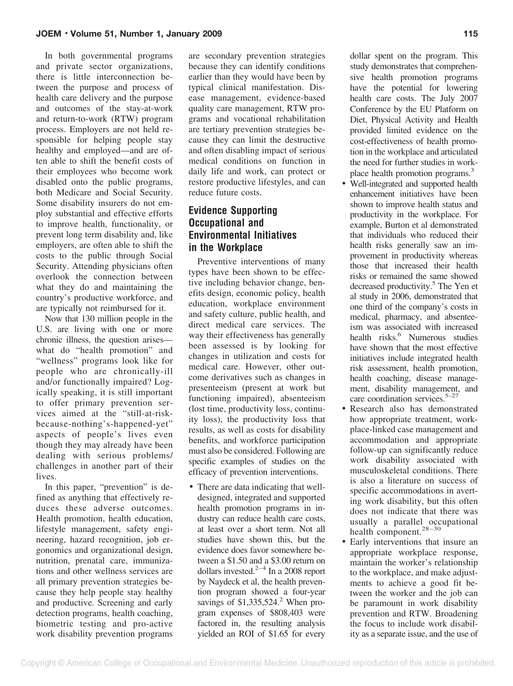In both governmental programs and private sector organizations, there is little interconnection between the purpose and process of health care delivery and the purpose and outcomes of the stay-at-work and return-to-work (RTW) program process. Employers are not held responsible for helping people stay healthy and employed—and are often able to shift the benefit costs of their employees who become work disabled onto the public programs, both Medicare and Social Security. Some disability insurers do not employ substantial and effective efforts to improve health, functionality, or prevent long term disability and, like employers, are often able to shift the costs to the public through Social Security. Attending physicians often overlook the connection between what they do and maintaining the country's productive workforce, and are typically not reimbursed for it.

Now that 130 million people in the U.S. are living with one or more chronic illness, the question arises what do "health promotion" and "wellness" programs look like for people who are chronically-ill and/or functionally impaired? Logically speaking, it is still important to offer primary prevention services aimed at the "still-at-riskbecause-nothing's-happened-yet" aspects of people's lives even though they may already have been dealing with serious problems/ challenges in another part of their lives.

In this paper, "prevention" is defined as anything that effectively reduces these adverse outcomes. Health promotion, health education, lifestyle management, safety engineering, hazard recognition, job ergonomics and organizational design, nutrition, prenatal care, immunizations and other wellness services are all primary prevention strategies because they help people stay healthy and productive. Screening and early detection programs, health coaching, biometric testing and pro-active work disability prevention programs are secondary prevention strategies because they can identify conditions earlier than they would have been by typical clinical manifestation. Disease management, evidence-based quality care management, RTW programs and vocational rehabilitation are tertiary prevention strategies because they can limit the destructive and often disabling impact of serious medical conditions on function in daily life and work, can protect or restore productive lifestyles, and can reduce future costs.

# **Evidence Supporting Occupational and Environmental Initiatives in the Workplace**

Preventive interventions of many types have been shown to be effective including behavior change, benefits design, economic policy, health education, workplace environment and safety culture, public health, and direct medical care services. The way their effectiveness has generally been assessed is by looking for changes in utilization and costs for medical care. However, other outcome derivatives such as changes in presenteeism (present at work but functioning impaired), absenteeism (lost time, productivity loss, continuity loss), the productivity loss that results, as well as costs for disability benefits, and workforce participation must also be considered. Following are specific examples of studies on the efficacy of prevention interventions.

• There are data indicating that welldesigned, integrated and supported health promotion programs in industry can reduce health care costs, at least over a short term. Not all studies have shown this, but the evidence does favor somewhere between a \$1.50 and a \$3.00 return on dollars invested. $2-4$  In a 2008 report by Naydeck et al, the health prevention program showed a four-year savings of  $$1,335,524$ .<sup>2</sup> When program expenses of \$808,403 were factored in, the resulting analysis yielded an ROI of \$1.65 for every

dollar spent on the program. This study demonstrates that comprehensive health promotion programs have the potential for lowering health care costs. The July 2007 Conference by the EU Platform on Diet, Physical Activity and Health provided limited evidence on the cost-effectiveness of health promotion in the workplace and articulated the need for further studies in workplace health promotion programs.<sup>3</sup>

- Well-integrated and supported health enhancement initiatives have been shown to improve health status and productivity in the workplace. For example, Burton et al demonstrated that individuals who reduced their health risks generally saw an improvement in productivity whereas those that increased their health risks or remained the same showed decreased productivity.5 The Yen et al study in 2006, demonstrated that one third of the company's costs in medical, pharmacy, and absenteeism was associated with increased health risks.<sup>6</sup> Numerous studies have shown that the most effective initiatives include integrated health risk assessment, health promotion, health coaching, disease management, disability management, and care coordination services.5–27
- Research also has demonstrated how appropriate treatment, workplace-linked case management and accommodation and appropriate follow-up can significantly reduce work disability associated with musculoskeletal conditions. There is also a literature on success of specific accommodations in averting work disability, but this often does not indicate that there was usually a parallel occupational health component.<sup>28-30</sup>
- Early interventions that insure an appropriate workplace response, maintain the worker's relationship to the workplace, and make adjustments to achieve a good fit between the worker and the job can be paramount in work disability prevention and RTW. Broadening the focus to include work disability as a separate issue, and the use of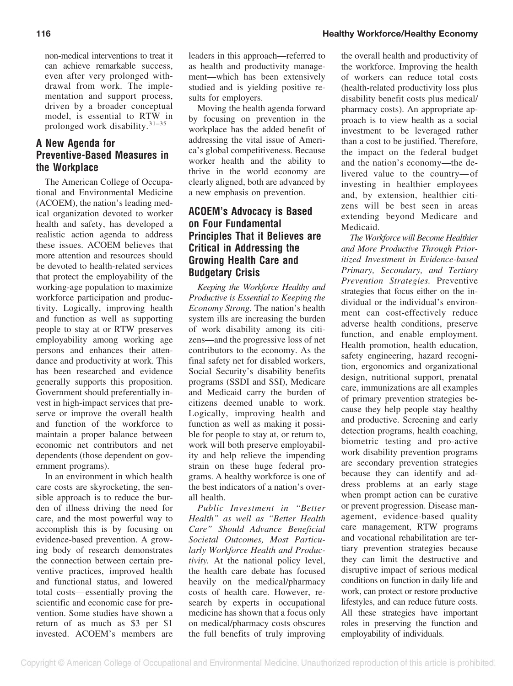non-medical interventions to treat it can achieve remarkable success, even after very prolonged withdrawal from work. The implementation and support process, driven by a broader conceptual model, is essential to RTW in prolonged work disability.31–35

# **A New Agenda for Preventive-Based Measures in the Workplace**

The American College of Occupational and Environmental Medicine (ACOEM), the nation's leading medical organization devoted to worker health and safety, has developed a realistic action agenda to address these issues. ACOEM believes that more attention and resources should be devoted to health-related services that protect the employability of the working-age population to maximize workforce participation and productivity. Logically, improving health and function as well as supporting people to stay at or RTW preserves employability among working age persons and enhances their attendance and productivity at work. This has been researched and evidence generally supports this proposition. Government should preferentially invest in high-impact services that preserve or improve the overall health and function of the workforce to maintain a proper balance between economic net contributors and net dependents (those dependent on government programs).

In an environment in which health care costs are skyrocketing, the sensible approach is to reduce the burden of illness driving the need for care, and the most powerful way to accomplish this is by focusing on evidence-based prevention. A growing body of research demonstrates the connection between certain preventive practices, improved health and functional status, and lowered total costs— essentially proving the scientific and economic case for prevention. Some studies have shown a return of as much as \$3 per \$1 invested. ACOEM's members are

leaders in this approach—referred to as health and productivity management—which has been extensively studied and is yielding positive results for employers.

Moving the health agenda forward by focusing on prevention in the workplace has the added benefit of addressing the vital issue of America's global competitiveness. Because worker health and the ability to thrive in the world economy are clearly aligned, both are advanced by a new emphasis on prevention.

# **ACOEM's Advocacy is Based on Four Fundamental Principles That it Believes are Critical in Addressing the Growing Health Care and Budgetary Crisis**

*Keeping the Workforce Healthy and Productive is Essential to Keeping the Economy Strong.* The nation's health system ills are increasing the burden of work disability among its citizens—and the progressive loss of net contributors to the economy. As the final safety net for disabled workers, Social Security's disability benefits programs (SSDI and SSI), Medicare and Medicaid carry the burden of citizens deemed unable to work. Logically, improving health and function as well as making it possible for people to stay at, or return to, work will both preserve employability and help relieve the impending strain on these huge federal programs. A healthy workforce is one of the best indicators of a nation's overall health.

*Public Investment in "Better Health" as well as "Better Health Care" Should Advance Beneficial Societal Outcomes, Most Particularly Workforce Health and Productivity.* At the national policy level, the health care debate has focused heavily on the medical/pharmacy costs of health care. However, research by experts in occupational medicine has shown that a focus only on medical/pharmacy costs obscures the full benefits of truly improving the overall health and productivity of the workforce. Improving the health of workers can reduce total costs (health-related productivity loss plus disability benefit costs plus medical/ pharmacy costs). An appropriate approach is to view health as a social investment to be leveraged rather than a cost to be justified. Therefore, the impact on the federal budget and the nation's economy—the delivered value to the country— of investing in healthier employees and, by extension, healthier citizens will be best seen in areas extending beyond Medicare and Medicaid.

*The Workforce will Become Healthier and More Productive Through Prioritized Investment in Evidence-based Primary, Secondary, and Tertiary Prevention Strategies.* Preventive strategies that focus either on the individual or the individual's environment can cost-effectively reduce adverse health conditions, preserve function, and enable employment. Health promotion, health education, safety engineering, hazard recognition, ergonomics and organizational design, nutritional support, prenatal care, immunizations are all examples of primary prevention strategies because they help people stay healthy and productive. Screening and early detection programs, health coaching, biometric testing and pro-active work disability prevention programs are secondary prevention strategies because they can identify and address problems at an early stage when prompt action can be curative or prevent progression. Disease management, evidence-based quality care management, RTW programs and vocational rehabilitation are tertiary prevention strategies because they can limit the destructive and disruptive impact of serious medical conditions on function in daily life and work, can protect or restore productive lifestyles, and can reduce future costs. All these strategies have important roles in preserving the function and employability of individuals.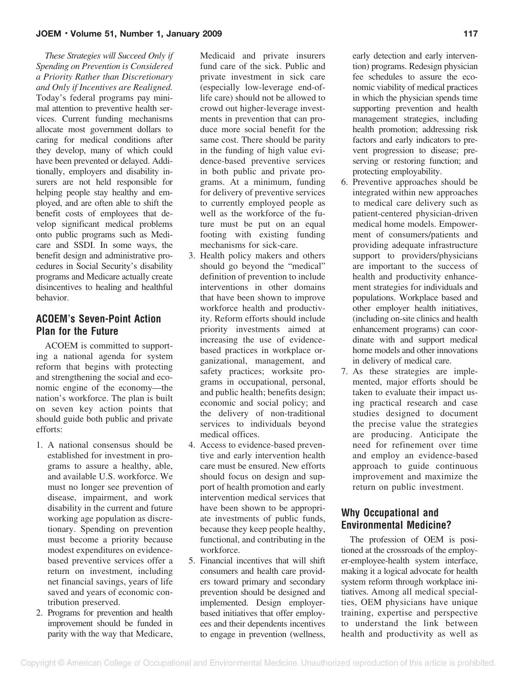#### **JOEM** • **Volume 51, Number 1, January 2009** 117

*These Strategies will Succeed Only if Spending on Prevention is Considered a Priority Rather than Discretionary and Only if Incentives are Realigned.* Today's federal programs pay minimal attention to preventive health services. Current funding mechanisms allocate most government dollars to caring for medical conditions after they develop, many of which could have been prevented or delayed. Additionally, employers and disability insurers are not held responsible for helping people stay healthy and employed, and are often able to shift the benefit costs of employees that develop significant medical problems onto public programs such as Medicare and SSDI. In some ways, the benefit design and administrative procedures in Social Security's disability programs and Medicare actually create disincentives to healing and healthful behavior.

## **ACOEM's Seven-Point Action Plan for the Future**

ACOEM is committed to supporting a national agenda for system reform that begins with protecting and strengthening the social and economic engine of the economy—the nation's workforce. The plan is built on seven key action points that should guide both public and private efforts:

- 1. A national consensus should be established for investment in programs to assure a healthy, able, and available U.S. workforce. We must no longer see prevention of disease, impairment, and work disability in the current and future working age population as discretionary. Spending on prevention must become a priority because modest expenditures on evidencebased preventive services offer a return on investment, including net financial savings, years of life saved and years of economic contribution preserved.
- 2. Programs for prevention and health improvement should be funded in parity with the way that Medicare,

Medicaid and private insurers fund care of the sick. Public and private investment in sick care (especially low-leverage end-oflife care) should not be allowed to crowd out higher-leverage investments in prevention that can produce more social benefit for the same cost. There should be parity in the funding of high value evidence-based preventive services in both public and private programs. At a minimum, funding for delivery of preventive services to currently employed people as well as the workforce of the future must be put on an equal footing with existing funding mechanisms for sick-care.

- 3. Health policy makers and others should go beyond the "medical" definition of prevention to include interventions in other domains that have been shown to improve workforce health and productivity. Reform efforts should include priority investments aimed at increasing the use of evidencebased practices in workplace organizational, management, and safety practices; worksite programs in occupational, personal, and public health; benefits design; economic and social policy; and the delivery of non-traditional services to individuals beyond medical offices.
- 4. Access to evidence-based preventive and early intervention health care must be ensured. New efforts should focus on design and support of health promotion and early intervention medical services that have been shown to be appropriate investments of public funds, because they keep people healthy, functional, and contributing in the workforce.
- 5. Financial incentives that will shift consumers and health care providers toward primary and secondary prevention should be designed and implemented. Design employerbased initiatives that offer employees and their dependents incentives to engage in prevention (wellness,

early detection and early intervention) programs. Redesign physician fee schedules to assure the economic viability of medical practices in which the physician spends time supporting prevention and health management strategies, including health promotion; addressing risk factors and early indicators to prevent progression to disease; preserving or restoring function; and protecting employability.

- 6. Preventive approaches should be integrated within new approaches to medical care delivery such as patient-centered physician-driven medical home models. Empowerment of consumers/patients and providing adequate infrastructure support to providers/physicians are important to the success of health and productivity enhancement strategies for individuals and populations. Workplace based and other employer health initiatives, (including on-site clinics and health enhancement programs) can coordinate with and support medical home models and other innovations in delivery of medical care.
- 7. As these strategies are implemented, major efforts should be taken to evaluate their impact using practical research and case studies designed to document the precise value the strategies are producing. Anticipate the need for refinement over time and employ an evidence-based approach to guide continuous improvement and maximize the return on public investment.

# **Why Occupational and Environmental Medicine?**

The profession of OEM is positioned at the crossroads of the employer-employee-health system interface, making it a logical advocate for health system reform through workplace initiatives. Among all medical specialties, OEM physicians have unique training, expertise and perspective to understand the link between health and productivity as well as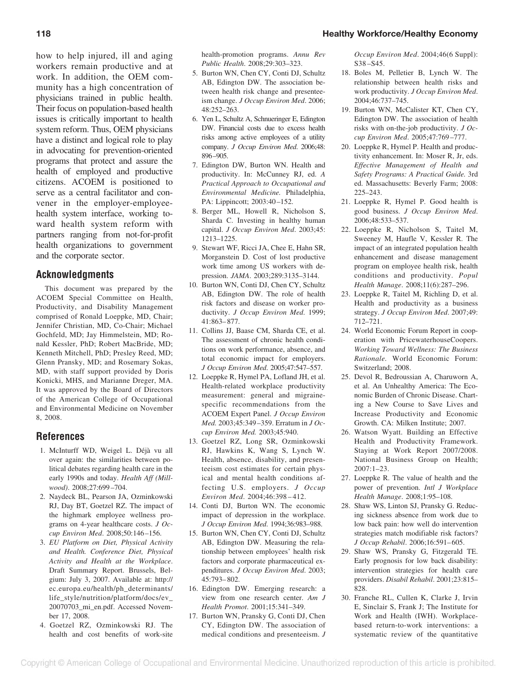how to help injured, ill and aging workers remain productive and at work. In addition, the OEM community has a high concentration of physicians trained in public health. Their focus on population-based health issues is critically important to health system reform. Thus, OEM physicians have a distinct and logical role to play in advocating for prevention-oriented programs that protect and assure the health of employed and productive citizens. ACOEM is positioned to serve as a central facilitator and convener in the employer-employeehealth system interface, working toward health system reform with partners ranging from not-for-profit health organizations to government and the corporate sector.

## **Acknowledgments**

This document was prepared by the ACOEM Special Committee on Health, Productivity, and Disability Management comprised of Ronald Loeppke, MD, Chair; Jennifer Christian, MD, Co-Chair; Michael Gochfeld, MD; Jay Himmelstein, MD; Ronald Kessler, PhD; Robert MacBride, MD; Kenneth Mitchell, PhD; Presley Reed, MD; Glenn Pransky, MD; and Rosemary Sokas, MD, with staff support provided by Doris Konicki, MHS, and Marianne Dreger, MA. It was approved by the Board of Directors of the American College of Occupational and Environmental Medicine on November 8, 2008.

## **References**

- 1. McInturff WD, Weigel L. Déjà vu all over again: the similarities between political debates regarding health care in the early 1990s and today. *Health Aff (Millwood)*. 2008;27:699 –704.
- 2. Naydeck BL, Pearson JA, Ozminkowski RJ, Day BT, Goetzel RZ. The impact of the highmark employee wellness programs on 4-year healthcare costs. *J Occup Environ Med*. 2008;50:146 –156.
- 3. *EU Platform on Diet, Physical Activity and Health. Conference Diet, Physical Activity and Health at the Workplace*. Draft Summary Report. Brussels, Belgium: July 3, 2007. Available at: http:// ec.europa.eu/health/ph\_determinants/ life\_style/nutrition/platform/docs/ev\_ 20070703\_mi\_en.pdf. Accessed November 17, 2008.
- 4. Goetzel RZ, Ozminkowski RJ. The health and cost benefits of work-site

health-promotion programs. *Annu Rev Public Health*. 2008;29:303–323.

- 5. Burton WN, Chen CY, Conti DJ, Schultz AB, Edington DW. The association between health risk change and presenteeism change. *J Occup Environ Med*. 2006; 48:252–263.
- 6. Yen L, Schultz A, Schnueringer E, Edington DW. Financial costs due to excess health risks among active employees of a utility company. *J Occup Environ Med*. 2006;48: 896–905.
- 7. Edington DW, Burton WN. Health and productivity. In: McCunney RJ, ed. *A Practical Approach to Occupational and Environmental Medicine.* Philadelphia, PA: Lippincott; 2003:40-152.
- 8. Berger ML, Howell R, Nicholson S, Sharda C. Investing in healthy human capital. *J Occup Environ Med*. 2003;45: 1213–1225.
- 9. Stewart WF, Ricci JA, Chee E, Hahn SR, Morganstein D. Cost of lost productive work time among US workers with depression. *JAMA*. 2003;289:3135–3144.
- 10. Burton WN, Conti DJ, Chen CY, Schultz AB, Edington DW. The role of health risk factors and disease on worker productivity. *J Occup Environ Med*. 1999; 41:863– 877.
- 11. Collins JJ, Baase CM, Sharda CE, et al. The assessment of chronic health conditions on work performance, absence, and total economic impact for employers. *J Occup Environ Med*. 2005;47:547–557.
- 12. Loeppke R, Hymel PA, Lofland JH, et al. Health-related workplace productivity measurement: general and migrainespecific recommendations from the ACOEM Expert Panel. *J Occup Environ Med.* 2003;45:349 –359. Erratum in *J Occup Environ Med.* 2003;45:940.
- 13. Goetzel RZ, Long SR, Ozminkowski RJ, Hawkins K, Wang S, Lynch W. Health, absence, disability, and presenteeism cost estimates for certain physical and mental health conditions affecting U.S. employers. *J Occup Environ Med*. 2004;46:398 – 412.
- 14. Conti DJ, Burton WN. The economic impact of depression in the workplace. *J Occup Environ Med*. 1994;36:983–988.
- 15. Burton WN, Chen CY, Conti DJ, Schultz AB, Edington DW. Measuring the relationship between employees' health risk factors and corporate pharmaceutical expenditures. *J Occup Environ Med*. 2003; 45:793– 802.
- 16. Edington DW. Emerging research: a view from one research center. *Am J Health Promot*. 2001;15:341–349.
- 17. Burton WN, Pransky G, Conti DJ, Chen CY, Edington DW. The association of medical conditions and presenteeism. *J*

*Occup Environ Med*. 2004;46(6 Suppl): S38 –S45.

- 18. Boles M, Pelletier B, Lynch W. The relationship between health risks and work productivity. *J Occup Environ Med*. 2004;46:737–745.
- 19. Burton WN, McCalister KT, Chen CY, Edington DW. The association of health risks with on-the-job productivity. *J Occup Environ Med*. 2005;47:769 –777.
- 20. Loeppke R, Hymel P. Health and productivity enhancement. In: Moser R, Jr, eds. *Effective Management of Health and Safety Programs: A Practical Guide.* 3rd ed. Massachusetts: Beverly Farm; 2008: 225–243.
- 21. Loeppke R, Hymel P. Good health is good business. *J Occup Environ Med*. 2006;48:533–537.
- 22. Loeppke R, Nicholson S, Taitel M, Sweeney M, Haufle V, Kessler R. The impact of an integrated population health enhancement and disease management program on employee health risk, health conditions and productivity. *Popul Health Manage*. 2008;11(6):287–296.
- 23. Loeppke R, Taitel M, Richling D, et al. Health and productivity as a business strategy. *J Occup Environ Med*. 2007;49: 712–721.
- 24. World Economic Forum Report in cooperation with PricewaterhouseCoopers. *Working Toward Wellness: The Business Rationale.* World Economic Forum: Switzerland; 2008.
- 25. Devol R, Bedroussian A, Charuworn A, et al. An Unhealthy America: The Economic Burden of Chronic Disease. Charting a New Course to Save Lives and Increase Productivity and Economic Growth. CA: Milken Institute; 2007.
- 26. Watson Wyatt. Building an Effective Health and Productivity Framework. Staying at Work Report 2007/2008. National Business Group on Health;  $2007 \cdot 1 - 23$
- 27. Loeppke R. The value of health and the power of prevention. *Intl J Workplace Health Manage*. 2008;1:95–108.
- 28. Shaw WS, Linton SJ, Pransky G. Reducing sickness absence from work due to low back pain: how well do intervention strategies match modifiable risk factors? *J Occup Rehabil.* 2006:16:591-605.
- 29. Shaw WS, Pransky G, Fitzgerald TE. Early prognosis for low back disability: intervention strategies for health care providers. *Disabil Rehabil*. 2001;23:815– 828
- 30. Franche RL, Cullen K, Clarke J, Irvin E, Sinclair S, Frank J; The Institute for Work and Health (IWH). Workplacebased return-to-work interventions: a systematic review of the quantitative